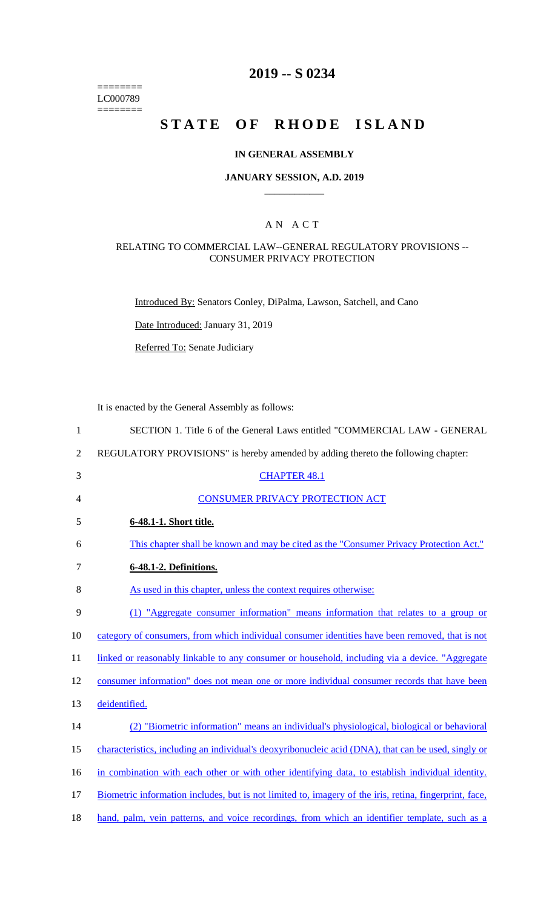======== LC000789  $=$ 

# **2019 -- S 0234**

# STATE OF RHODE ISLAND

# **IN GENERAL ASSEMBLY**

#### **JANUARY SESSION, A.D. 2019 \_\_\_\_\_\_\_\_\_\_\_\_**

# A N A C T

# RELATING TO COMMERCIAL LAW--GENERAL REGULATORY PROVISIONS -- CONSUMER PRIVACY PROTECTION

Introduced By: Senators Conley, DiPalma, Lawson, Satchell, and Cano

Date Introduced: January 31, 2019

Referred To: Senate Judiciary

It is enacted by the General Assembly as follows:

| $\mathbf{1}$   | SECTION 1. Title 6 of the General Laws entitled "COMMERCIAL LAW - GENERAL                              |
|----------------|--------------------------------------------------------------------------------------------------------|
| $\overline{2}$ | REGULATORY PROVISIONS" is hereby amended by adding thereto the following chapter:                      |
| 3              | <b>CHAPTER 48.1</b>                                                                                    |
| 4              | <b>CONSUMER PRIVACY PROTECTION ACT</b>                                                                 |
| 5              | 6-48.1-1. Short title.                                                                                 |
| 6              | This chapter shall be known and may be cited as the "Consumer Privacy Protection Act."                 |
| 7              | 6-48.1-2. Definitions.                                                                                 |
| 8              | As used in this chapter, unless the context requires otherwise:                                        |
| 9              | (1) "Aggregate consumer information" means information that relates to a group or                      |
| 10             | category of consumers, from which individual consumer identities have been removed, that is not        |
| 11             | linked or reasonably linkable to any consumer or household, including via a device. "Aggregate         |
| 12             | consumer information" does not mean one or more individual consumer records that have been             |
| 13             | deidentified.                                                                                          |
| 14             | (2) "Biometric information" means an individual's physiological, biological or behavioral              |
| 15             | characteristics, including an individual's deoxyribonucleic acid (DNA), that can be used, singly or    |
| 16             | in combination with each other or with other identifying data, to establish individual identity.       |
| 17             | Biometric information includes, but is not limited to, imagery of the iris, retina, fingerprint, face, |
| 18             | hand, palm, vein patterns, and voice recordings, from which an identifier template, such as a          |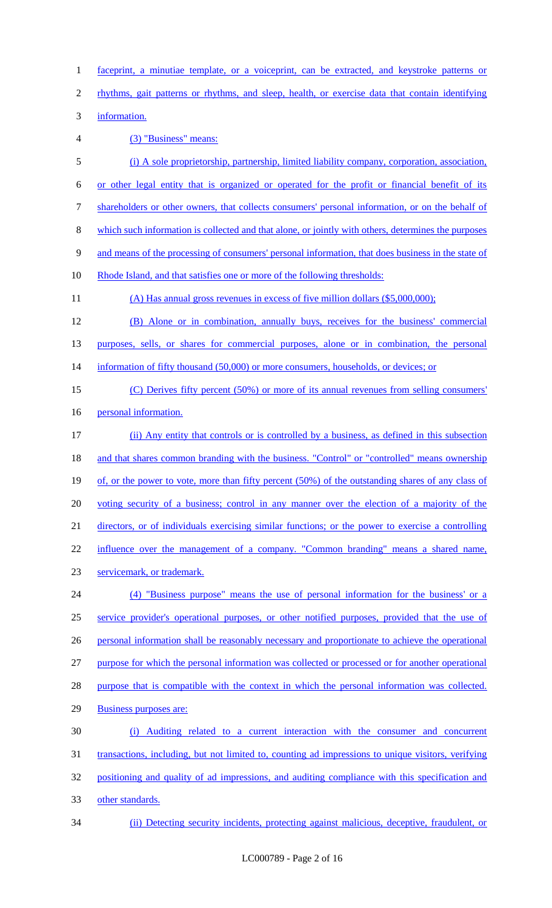faceprint, a minutiae template, or a voiceprint, can be extracted, and keystroke patterns or rhythms, gait patterns or rhythms, and sleep, health, or exercise data that contain identifying information. (3) "Business" means: (i) A sole proprietorship, partnership, limited liability company, corporation, association, or other legal entity that is organized or operated for the profit or financial benefit of its shareholders or other owners, that collects consumers' personal information, or on the behalf of which such information is collected and that alone, or jointly with others, determines the purposes and means of the processing of consumers' personal information, that does business in the state of 10 Rhode Island, and that satisfies one or more of the following thresholds: 11 (A) Has annual gross revenues in excess of five million dollars (\$5,000,000); (B) Alone or in combination, annually buys, receives for the business' commercial purposes, sells, or shares for commercial purposes, alone or in combination, the personal 14 information of fifty thousand (50,000) or more consumers, households, or devices; or (C) Derives fifty percent (50%) or more of its annual revenues from selling consumers' 16 personal information. (ii) Any entity that controls or is controlled by a business, as defined in this subsection 18 and that shares common branding with the business. "Control" or "controlled" means ownership 19 of, or the power to vote, more than fifty percent (50%) of the outstanding shares of any class of voting security of a business; control in any manner over the election of a majority of the directors, or of individuals exercising similar functions; or the power to exercise a controlling influence over the management of a company. "Common branding" means a shared name, servicemark, or trademark. (4) "Business purpose" means the use of personal information for the business' or a service provider's operational purposes, or other notified purposes, provided that the use of personal information shall be reasonably necessary and proportionate to achieve the operational purpose for which the personal information was collected or processed or for another operational 28 purpose that is compatible with the context in which the personal information was collected. Business purposes are: (i) Auditing related to a current interaction with the consumer and concurrent transactions, including, but not limited to, counting ad impressions to unique visitors, verifying positioning and quality of ad impressions, and auditing compliance with this specification and other standards. (ii) Detecting security incidents, protecting against malicious, deceptive, fraudulent, or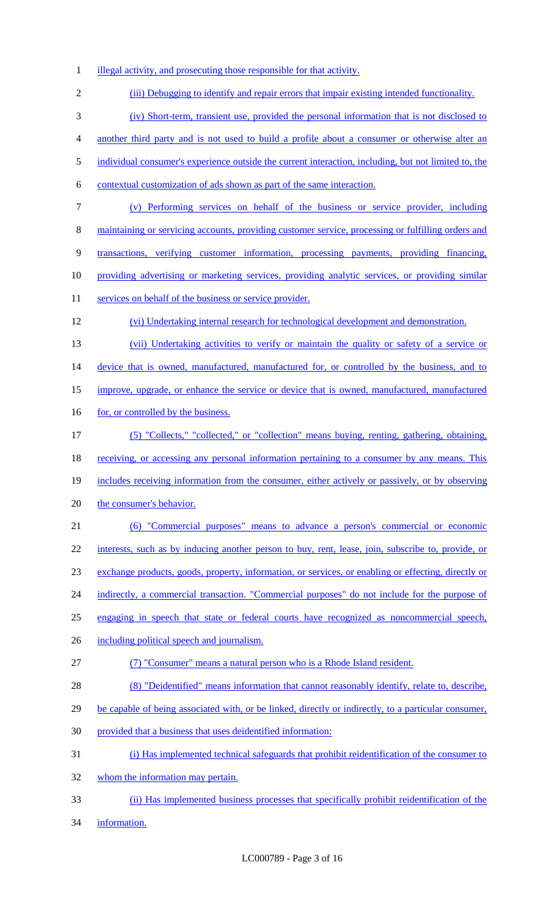illegal activity, and prosecuting those responsible for that activity.

 (iii) Debugging to identify and repair errors that impair existing intended functionality. (iv) Short-term, transient use, provided the personal information that is not disclosed to another third party and is not used to build a profile about a consumer or otherwise alter an individual consumer's experience outside the current interaction, including, but not limited to, the contextual customization of ads shown as part of the same interaction. (v) Performing services on behalf of the business or service provider, including 8 maintaining or servicing accounts, providing customer service, processing or fulfilling orders and transactions, verifying customer information, processing payments, providing financing, providing advertising or marketing services, providing analytic services, or providing similar 11 services on behalf of the business or service provider. (vi) Undertaking internal research for technological development and demonstration. 13 (vii) Undertaking activities to verify or maintain the quality or safety of a service or 14 device that is owned, manufactured, manufactured for, or controlled by the business, and to improve, upgrade, or enhance the service or device that is owned, manufactured, manufactured 16 for, or controlled by the business. (5) "Collects," "collected," or "collection" means buying, renting, gathering, obtaining, 18 receiving, or accessing any personal information pertaining to a consumer by any means. This includes receiving information from the consumer, either actively or passively, or by observing 20 the consumer's behavior. (6) "Commercial purposes" means to advance a person's commercial or economic interests, such as by inducing another person to buy, rent, lease, join, subscribe to, provide, or exchange products, goods, property, information, or services, or enabling or effecting, directly or indirectly, a commercial transaction. "Commercial purposes" do not include for the purpose of engaging in speech that state or federal courts have recognized as noncommercial speech, 26 including political speech and journalism. (7) "Consumer" means a natural person who is a Rhode Island resident. 28 (8) "Deidentified" means information that cannot reasonably identify, relate to, describe, 29 be capable of being associated with, or be linked, directly or indirectly, to a particular consumer, provided that a business that uses deidentified information: (i) Has implemented technical safeguards that prohibit reidentification of the consumer to whom the information may pertain. (ii) Has implemented business processes that specifically prohibit reidentification of the 34 information.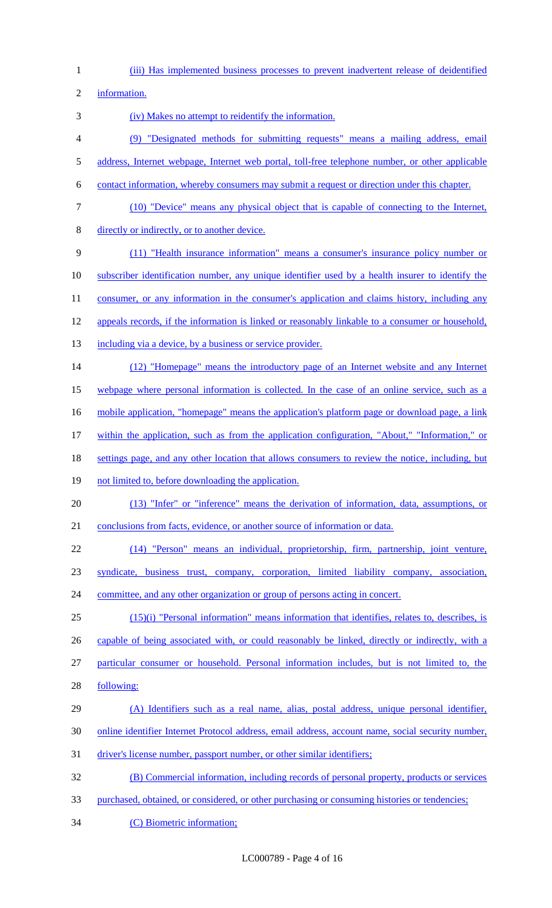(iii) Has implemented business processes to prevent inadvertent release of deidentified

information.

(iv) Makes no attempt to reidentify the information.

- (9) "Designated methods for submitting requests" means a mailing address, email 5 address, Internet webpage, Internet web portal, toll-free telephone number, or other applicable contact information, whereby consumers may submit a request or direction under this chapter.
- 
- (10) "Device" means any physical object that is capable of connecting to the Internet,
- directly or indirectly, or to another device.
- (11) "Health insurance information" means a consumer's insurance policy number or 10 subscriber identification number, any unique identifier used by a health insurer to identify the 11 consumer, or any information in the consumer's application and claims history, including any appeals records, if the information is linked or reasonably linkable to a consumer or household,
- 13 including via a device, by a business or service provider.
- (12) "Homepage" means the introductory page of an Internet website and any Internet
- webpage where personal information is collected. In the case of an online service, such as a
- 16 mobile application, "homepage" means the application's platform page or download page, a link
- within the application, such as from the application configuration, "About," "Information," or
- 18 settings page, and any other location that allows consumers to review the notice, including, but
- 19 not limited to, before downloading the application.
- (13) "Infer" or "inference" means the derivation of information, data, assumptions, or conclusions from facts, evidence, or another source of information or data.
- (14) "Person" means an individual, proprietorship, firm, partnership, joint venture,
- syndicate, business trust, company, corporation, limited liability company, association,
- 24 committee, and any other organization or group of persons acting in concert.
- (15)(i) "Personal information" means information that identifies, relates to, describes, is
- 26 capable of being associated with, or could reasonably be linked, directly or indirectly, with a
- particular consumer or household. Personal information includes, but is not limited to, the
- following:
- (A) Identifiers such as a real name, alias, postal address, unique personal identifier,
- online identifier Internet Protocol address, email address, account name, social security number,
- driver's license number, passport number, or other similar identifiers;
- (B) Commercial information, including records of personal property, products or services
- purchased, obtained, or considered, or other purchasing or consuming histories or tendencies;
- (C) Biometric information;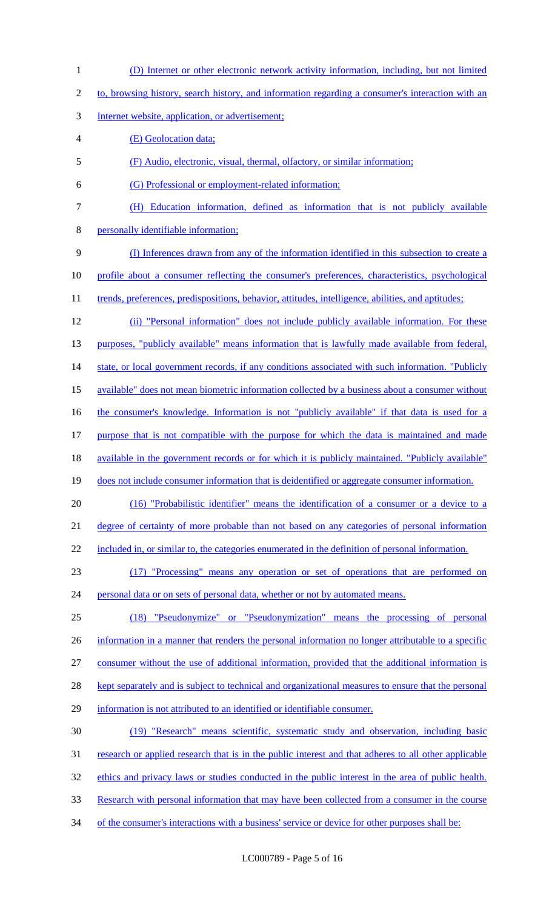- (D) Internet or other electronic network activity information, including, but not limited
- to, browsing history, search history, and information regarding a consumer's interaction with an
- Internet website, application, or advertisement;
- (E) Geolocation data;
- (F) Audio, electronic, visual, thermal, olfactory, or similar information;
- (G) Professional or employment-related information;
- (H) Education information, defined as information that is not publicly available
- personally identifiable information;
- (I) Inferences drawn from any of the information identified in this subsection to create a 10 profile about a consumer reflecting the consumer's preferences, characteristics, psychological
- 11 trends, preferences, predispositions, behavior, attitudes, intelligence, abilities, and aptitudes;
- (ii) "Personal information" does not include publicly available information. For these 13 purposes, "publicly available" means information that is lawfully made available from federal, 14 state, or local government records, if any conditions associated with such information. "Publicly available" does not mean biometric information collected by a business about a consumer without 16 the consumer's knowledge. Information is not "publicly available" if that data is used for a purpose that is not compatible with the purpose for which the data is maintained and made
- available in the government records or for which it is publicly maintained. "Publicly available"
- does not include consumer information that is deidentified or aggregate consumer information.
- (16) "Probabilistic identifier" means the identification of a consumer or a device to a degree of certainty of more probable than not based on any categories of personal information 22 included in, or similar to, the categories enumerated in the definition of personal information.
- (17) "Processing" means any operation or set of operations that are performed on
- personal data or on sets of personal data, whether or not by automated means.
- (18) "Pseudonymize" or "Pseudonymization" means the processing of personal 26 information in a manner that renders the personal information no longer attributable to a specific consumer without the use of additional information, provided that the additional information is 28 kept separately and is subject to technical and organizational measures to ensure that the personal
- information is not attributed to an identified or identifiable consumer.
- (19) "Research" means scientific, systematic study and observation, including basic research or applied research that is in the public interest and that adheres to all other applicable ethics and privacy laws or studies conducted in the public interest in the area of public health. Research with personal information that may have been collected from a consumer in the course
- 34 of the consumer's interactions with a business' service or device for other purposes shall be: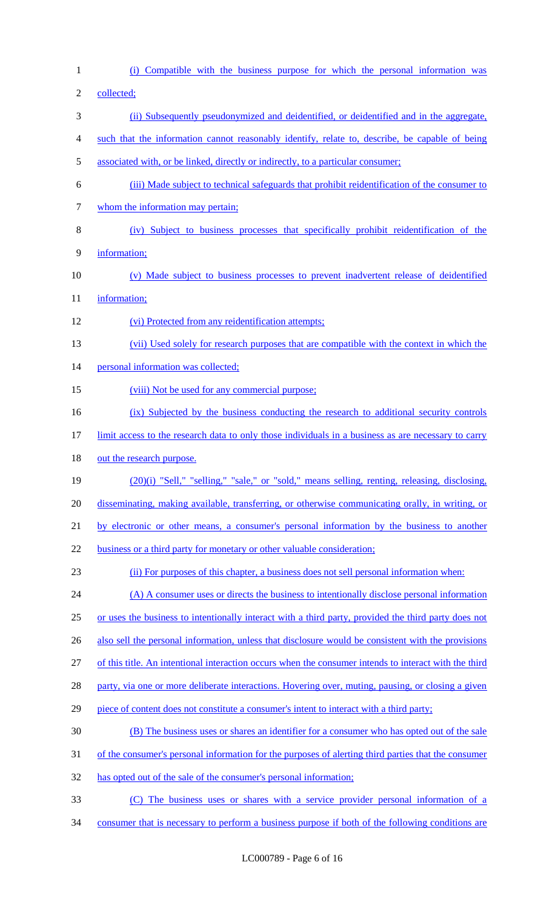(i) Compatible with the business purpose for which the personal information was collected; (ii) Subsequently pseudonymized and deidentified, or deidentified and in the aggregate, such that the information cannot reasonably identify, relate to, describe, be capable of being associated with, or be linked, directly or indirectly, to a particular consumer; (iii) Made subject to technical safeguards that prohibit reidentification of the consumer to 7 whom the information may pertain; (iv) Subject to business processes that specifically prohibit reidentification of the information; (v) Made subject to business processes to prevent inadvertent release of deidentified 11 information; (vi) Protected from any reidentification attempts; 13 (vii) Used solely for research purposes that are compatible with the context in which the 14 personal information was collected; 15 (viii) Not be used for any commercial purpose; 16 (ix) Subjected by the business conducting the research to additional security controls limit access to the research data to only those individuals in a business as are necessary to carry 18 out the research purpose. (20)(i) "Sell," "selling," "sale," or "sold," means selling, renting, releasing, disclosing, disseminating, making available, transferring, or otherwise communicating orally, in writing, or by electronic or other means, a consumer's personal information by the business to another 22 business or a third party for monetary or other valuable consideration; (ii) For purposes of this chapter, a business does not sell personal information when: (A) A consumer uses or directs the business to intentionally disclose personal information or uses the business to intentionally interact with a third party, provided the third party does not also sell the personal information, unless that disclosure would be consistent with the provisions of this title. An intentional interaction occurs when the consumer intends to interact with the third 28 party, via one or more deliberate interactions. Hovering over, muting, pausing, or closing a given piece of content does not constitute a consumer's intent to interact with a third party; (B) The business uses or shares an identifier for a consumer who has opted out of the sale of the consumer's personal information for the purposes of alerting third parties that the consumer has opted out of the sale of the consumer's personal information; (C) The business uses or shares with a service provider personal information of a consumer that is necessary to perform a business purpose if both of the following conditions are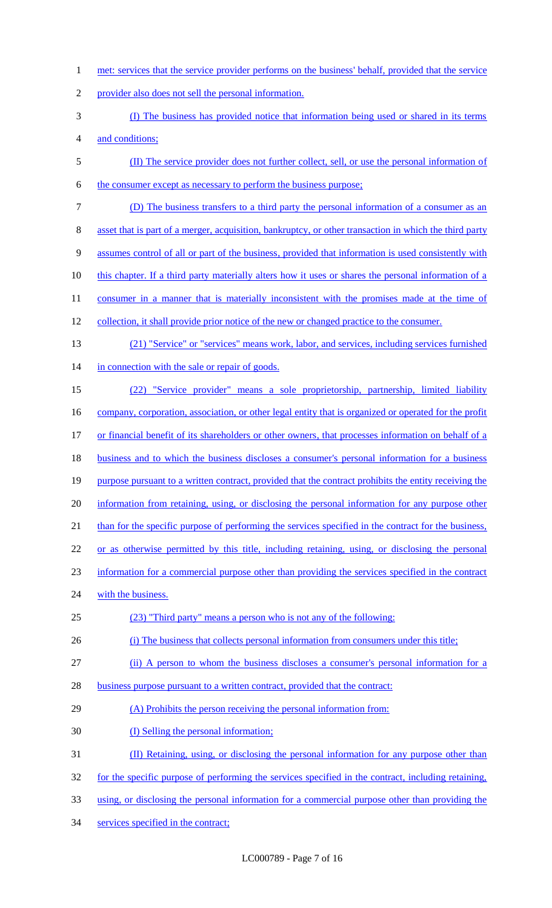| $\mathbf{1}$   | met: services that the service provider performs on the business' behalf, provided that the service    |
|----------------|--------------------------------------------------------------------------------------------------------|
| $\overline{c}$ | provider also does not sell the personal information.                                                  |
| 3              | (I) The business has provided notice that information being used or shared in its terms                |
| 4              | and conditions;                                                                                        |
| 5              | (II) The service provider does not further collect, sell, or use the personal information of           |
| 6              | the consumer except as necessary to perform the business purpose;                                      |
| $\tau$         | (D) The business transfers to a third party the personal information of a consumer as an               |
| $8\,$          | asset that is part of a merger, acquisition, bankruptcy, or other transaction in which the third party |
| 9              | assumes control of all or part of the business, provided that information is used consistently with    |
| 10             | this chapter. If a third party materially alters how it uses or shares the personal information of a   |
| 11             | consumer in a manner that is materially inconsistent with the promises made at the time of             |
| 12             | collection, it shall provide prior notice of the new or changed practice to the consumer.              |
| 13             | (21) "Service" or "services" means work, labor, and services, including services furnished             |
| 14             | in connection with the sale or repair of goods.                                                        |
| 15             | (22) "Service provider" means a sole proprietorship, partnership, limited liability                    |
| 16             | company, corporation, association, or other legal entity that is organized or operated for the profit  |
| 17             | or financial benefit of its shareholders or other owners, that processes information on behalf of a    |
| 18             | <u>business and to which the business discloses a consumer's personal information for a business</u>   |
| 19             | purpose pursuant to a written contract, provided that the contract prohibits the entity receiving the  |
| 20             | information from retaining, using, or disclosing the personal information for any purpose other        |
| 21             | than for the specific purpose of performing the services specified in the contract for the business,   |
| 22             | or as otherwise permitted by this title, including retaining, using, or disclosing the personal        |
| 23             | information for a commercial purpose other than providing the services specified in the contract       |
| 24             | with the business.                                                                                     |
| 25             | (23) "Third party" means a person who is not any of the following:                                     |
| 26             | (i) The business that collects personal information from consumers under this title;                   |
| 27             | (ii) A person to whom the business discloses a consumer's personal information for a                   |
| 28             | business purpose pursuant to a written contract, provided that the contract:                           |
| 29             | (A) Prohibits the person receiving the personal information from:                                      |
| 30             | (I) Selling the personal information;                                                                  |
| 31             | (II) Retaining, using, or disclosing the personal information for any purpose other than               |
| 32             | for the specific purpose of performing the services specified in the contract, including retaining,    |
| 33             | using, or disclosing the personal information for a commercial purpose other than providing the        |
| 34             | services specified in the contract;                                                                    |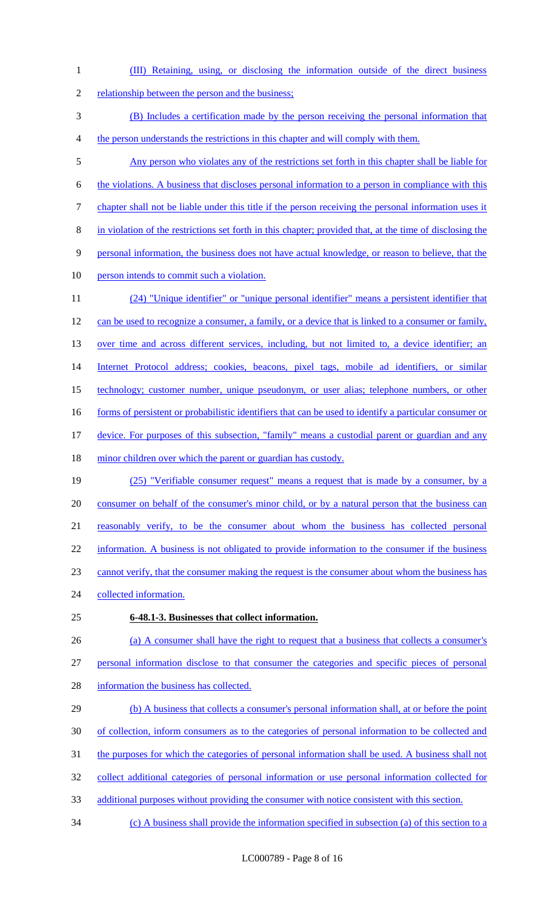- (III) Retaining, using, or disclosing the information outside of the direct business
- 2 relationship between the person and the business;
- (B) Includes a certification made by the person receiving the personal information that the person understands the restrictions in this chapter and will comply with them.
- Any person who violates any of the restrictions set forth in this chapter shall be liable for the violations. A business that discloses personal information to a person in compliance with this chapter shall not be liable under this title if the person receiving the personal information uses it in violation of the restrictions set forth in this chapter; provided that, at the time of disclosing the
- personal information, the business does not have actual knowledge, or reason to believe, that the
- 10 person intends to commit such a violation.
- (24) "Unique identifier" or "unique personal identifier" means a persistent identifier that can be used to recognize a consumer, a family, or a device that is linked to a consumer or family, 13 over time and across different services, including, but not limited to, a device identifier; an 14 Internet Protocol address; cookies, beacons, pixel tags, mobile ad identifiers, or similar technology; customer number, unique pseudonym, or user alias; telephone numbers, or other 16 forms of persistent or probabilistic identifiers that can be used to identify a particular consumer or device. For purposes of this subsection, "family" means a custodial parent or guardian and any 18 minor children over which the parent or guardian has custody.
- (25) "Verifiable consumer request" means a request that is made by a consumer, by a 20 consumer on behalf of the consumer's minor child, or by a natural person that the business can reasonably verify, to be the consumer about whom the business has collected personal information. A business is not obligated to provide information to the consumer if the business cannot verify, that the consumer making the request is the consumer about whom the business has 24 collected information.
- **6-48.1-3. Businesses that collect information.**
- 26 (a) A consumer shall have the right to request that a business that collects a consumer's personal information disclose to that consumer the categories and specific pieces of personal
- information the business has collected.
- (b) A business that collects a consumer's personal information shall, at or before the point of collection, inform consumers as to the categories of personal information to be collected and
- the purposes for which the categories of personal information shall be used. A business shall not
- collect additional categories of personal information or use personal information collected for
- additional purposes without providing the consumer with notice consistent with this section.
- (c) A business shall provide the information specified in subsection (a) of this section to a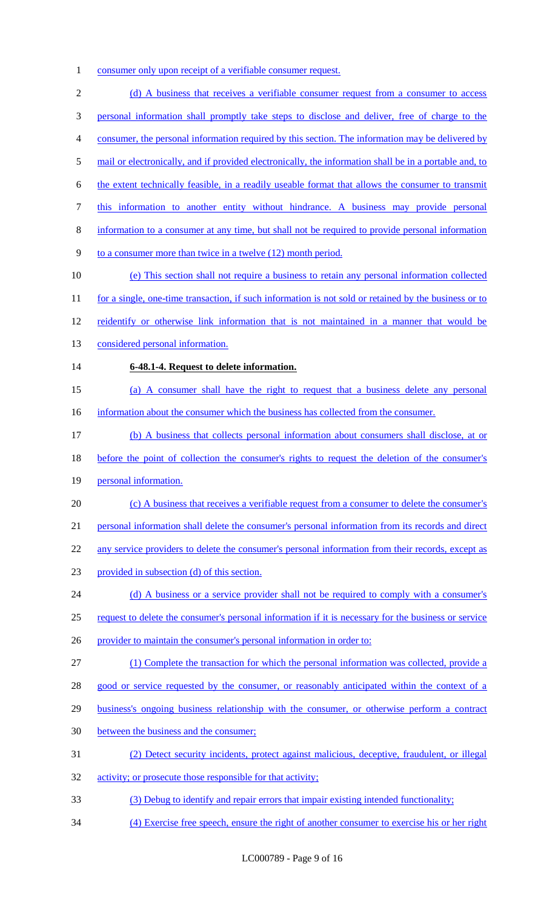1 consumer only upon receipt of a verifiable consumer request.

2 (d) A business that receives a verifiable consumer request from a consumer to access personal information shall promptly take steps to disclose and deliver, free of charge to the consumer, the personal information required by this section. The information may be delivered by 5 mail or electronically, and if provided electronically, the information shall be in a portable and, to the extent technically feasible, in a readily useable format that allows the consumer to transmit this information to another entity without hindrance. A business may provide personal information to a consumer at any time, but shall not be required to provide personal information 9 to a consumer more than twice in a twelve (12) month period. (e) This section shall not require a business to retain any personal information collected 11 for a single, one-time transaction, if such information is not sold or retained by the business or to 12 reidentify or otherwise link information that is not maintained in a manner that would be considered personal information. **6-48.1-4. Request to delete information.**  (a) A consumer shall have the right to request that a business delete any personal 16 information about the consumer which the business has collected from the consumer. (b) A business that collects personal information about consumers shall disclose, at or before the point of collection the consumer's rights to request the deletion of the consumer's personal information. (c) A business that receives a verifiable request from a consumer to delete the consumer's personal information shall delete the consumer's personal information from its records and direct 22 any service providers to delete the consumer's personal information from their records, except as provided in subsection (d) of this section. 24 (d) A business or a service provider shall not be required to comply with a consumer's request to delete the consumer's personal information if it is necessary for the business or service 26 provider to maintain the consumer's personal information in order to: (1) Complete the transaction for which the personal information was collected, provide a 28 good or service requested by the consumer, or reasonably anticipated within the context of a 29 business's ongoing business relationship with the consumer, or otherwise perform a contract between the business and the consumer; (2) Detect security incidents, protect against malicious, deceptive, fraudulent, or illegal activity; or prosecute those responsible for that activity; (3) Debug to identify and repair errors that impair existing intended functionality; (4) Exercise free speech, ensure the right of another consumer to exercise his or her right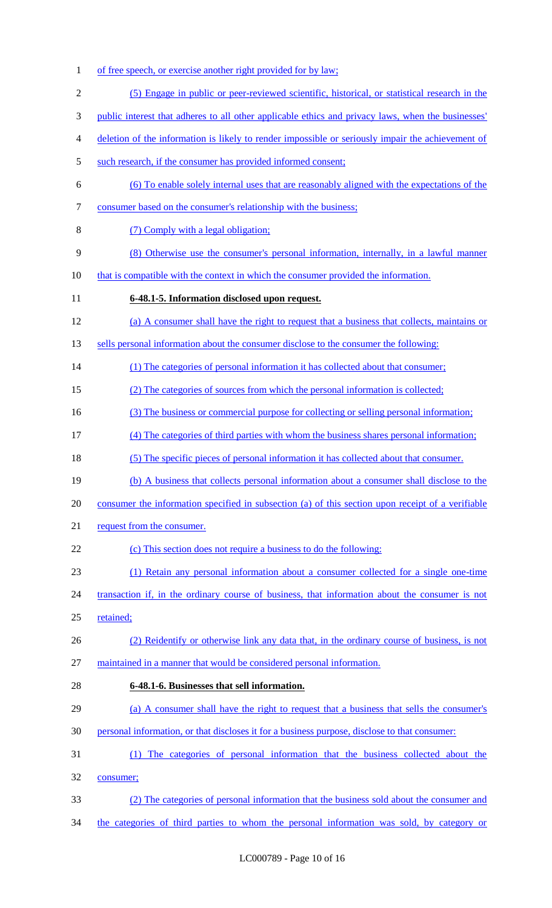of free speech, or exercise another right provided for by law; (5) Engage in public or peer-reviewed scientific, historical, or statistical research in the public interest that adheres to all other applicable ethics and privacy laws, when the businesses' deletion of the information is likely to render impossible or seriously impair the achievement of 5 such research, if the consumer has provided informed consent; (6) To enable solely internal uses that are reasonably aligned with the expectations of the consumer based on the consumer's relationship with the business; (7) Comply with a legal obligation; (8) Otherwise use the consumer's personal information, internally, in a lawful manner 10 that is compatible with the context in which the consumer provided the information. **6-48.1-5. Information disclosed upon request.**  (a) A consumer shall have the right to request that a business that collects, maintains or 13 sells personal information about the consumer disclose to the consumer the following: 14 (1) The categories of personal information it has collected about that consumer; (2) The categories of sources from which the personal information is collected; 16 (3) The business or commercial purpose for collecting or selling personal information; (4) The categories of third parties with whom the business shares personal information; (5) The specific pieces of personal information it has collected about that consumer. (b) A business that collects personal information about a consumer shall disclose to the consumer the information specified in subsection (a) of this section upon receipt of a verifiable 21 request from the consumer. (c) This section does not require a business to do the following: (1) Retain any personal information about a consumer collected for a single one-time 24 transaction if, in the ordinary course of business, that information about the consumer is not retained; (2) Reidentify or otherwise link any data that, in the ordinary course of business, is not maintained in a manner that would be considered personal information. **6-48.1-6. Businesses that sell information.**  (a) A consumer shall have the right to request that a business that sells the consumer's personal information, or that discloses it for a business purpose, disclose to that consumer: (1) The categories of personal information that the business collected about the consumer; (2) The categories of personal information that the business sold about the consumer and 34 the categories of third parties to whom the personal information was sold, by category or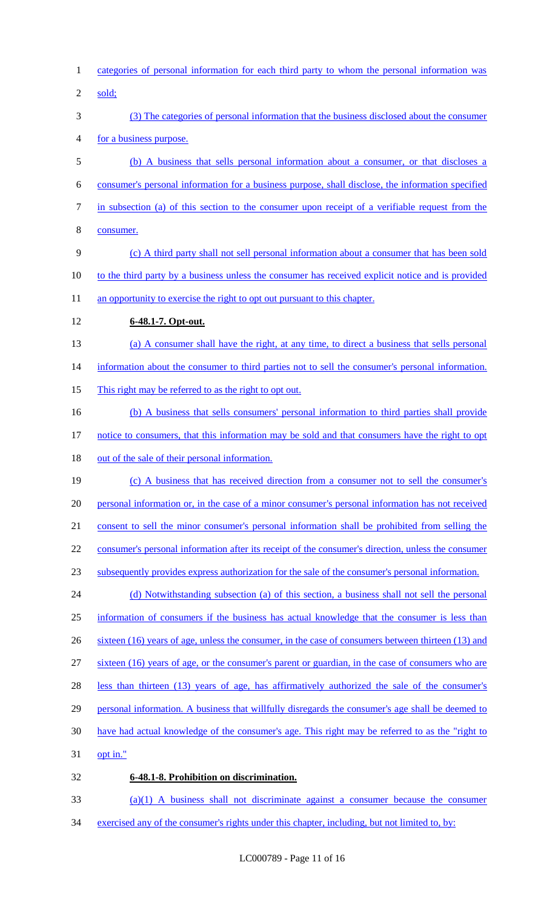| $\mathbf{1}$   | categories of personal information for each third party to whom the personal information was           |
|----------------|--------------------------------------------------------------------------------------------------------|
| $\overline{2}$ | sold;                                                                                                  |
| 3              | (3) The categories of personal information that the business disclosed about the consumer              |
| 4              | for a business purpose.                                                                                |
| 5              | (b) A business that sells personal information about a consumer, or that discloses a                   |
| 6              | consumer's personal information for a business purpose, shall disclose, the information specified      |
| 7              | in subsection (a) of this section to the consumer upon receipt of a verifiable request from the        |
| 8              | consumer.                                                                                              |
| 9              | (c) A third party shall not sell personal information about a consumer that has been sold              |
| 10             | to the third party by a business unless the consumer has received explicit notice and is provided      |
| 11             | an opportunity to exercise the right to opt out pursuant to this chapter.                              |
| 12             | 6-48.1-7. Opt-out.                                                                                     |
| 13             | (a) A consumer shall have the right, at any time, to direct a business that sells personal             |
| 14             | information about the consumer to third parties not to sell the consumer's personal information.       |
| 15             | This right may be referred to as the right to opt out.                                                 |
| 16             | (b) A business that sells consumers' personal information to third parties shall provide               |
| 17             | notice to consumers, that this information may be sold and that consumers have the right to opt        |
| 18             | out of the sale of their personal information.                                                         |
| 19             | (c) A business that has received direction from a consumer not to sell the consumer's                  |
| 20             | personal information or, in the case of a minor consumer's personal information has not received       |
| 21             | consent to sell the minor consumer's personal information shall be prohibited from selling the         |
| 22             | consumer's personal information after its receipt of the consumer's direction, unless the consumer     |
| 23             | subsequently provides express authorization for the sale of the consumer's personal information.       |
| 24             | (d) Notwithstanding subsection (a) of this section, a business shall not sell the personal             |
| 25             | information of consumers if the business has actual knowledge that the consumer is less than           |
| 26             | sixteen $(16)$ years of age, unless the consumer, in the case of consumers between thirteen $(13)$ and |
| 27             | sixteen $(16)$ years of age, or the consumer's parent or guardian, in the case of consumers who are    |
| 28             | less than thirteen (13) years of age, has affirmatively authorized the sale of the consumer's          |
| 29             | personal information. A business that willfully disregards the consumer's age shall be deemed to       |
| 30             | have had actual knowledge of the consumer's age. This right may be referred to as the "right to        |
| 31             | opt in."                                                                                               |
| 32             | 6-48.1-8. Prohibition on discrimination.                                                               |
| 33             | $(a)(1)$ A business shall not discriminate against a consumer because the consumer                     |
|                |                                                                                                        |

exercised any of the consumer's rights under this chapter, including, but not limited to, by: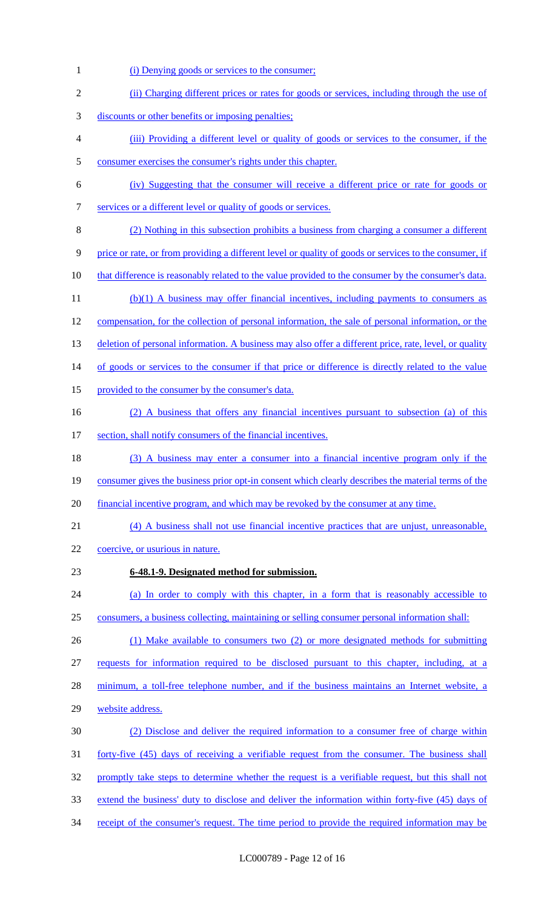(ii) Charging different prices or rates for goods or services, including through the use of discounts or other benefits or imposing penalties; (iii) Providing a different level or quality of goods or services to the consumer, if the consumer exercises the consumer's rights under this chapter. (iv) Suggesting that the consumer will receive a different price or rate for goods or services or a different level or quality of goods or services. (2) Nothing in this subsection prohibits a business from charging a consumer a different price or rate, or from providing a different level or quality of goods or services to the consumer, if 10 that difference is reasonably related to the value provided to the consumer by the consumer's data. (b)(1) A business may offer financial incentives, including payments to consumers as 12 compensation, for the collection of personal information, the sale of personal information, or the 13 deletion of personal information. A business may also offer a different price, rate, level, or quality 14 of goods or services to the consumer if that price or difference is directly related to the value provided to the consumer by the consumer's data. (2) A business that offers any financial incentives pursuant to subsection (a) of this section, shall notify consumers of the financial incentives. (3) A business may enter a consumer into a financial incentive program only if the consumer gives the business prior opt-in consent which clearly describes the material terms of the financial incentive program, and which may be revoked by the consumer at any time. (4) A business shall not use financial incentive practices that are unjust, unreasonable, coercive, or usurious in nature. **6-48.1-9. Designated method for submission.**  (a) In order to comply with this chapter, in a form that is reasonably accessible to consumers, a business collecting, maintaining or selling consumer personal information shall: (1) Make available to consumers two (2) or more designated methods for submitting requests for information required to be disclosed pursuant to this chapter, including, at a 28 minimum, a toll-free telephone number, and if the business maintains an Internet website, a website address. (2) Disclose and deliver the required information to a consumer free of charge within forty-five (45) days of receiving a verifiable request from the consumer. The business shall promptly take steps to determine whether the request is a verifiable request, but this shall not extend the business' duty to disclose and deliver the information within forty-five (45) days of 34 receipt of the consumer's request. The time period to provide the required information may be

(i) Denying goods or services to the consumer;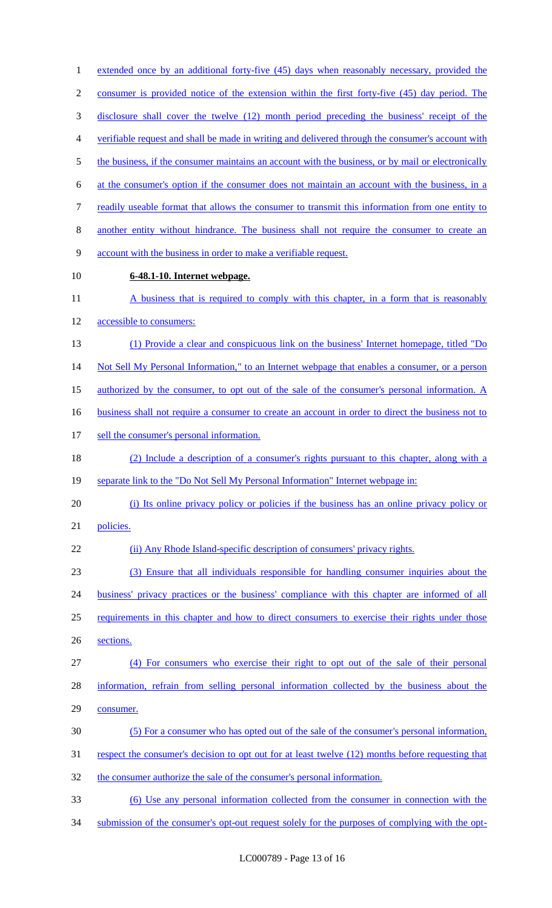extended once by an additional forty-five (45) days when reasonably necessary, provided the 2 consumer is provided notice of the extension within the first forty-five (45) day period. The disclosure shall cover the twelve (12) month period preceding the business' receipt of the verifiable request and shall be made in writing and delivered through the consumer's account with 5 the business, if the consumer maintains an account with the business, or by mail or electronically at the consumer's option if the consumer does not maintain an account with the business, in a 7 readily useable format that allows the consumer to transmit this information from one entity to another entity without hindrance. The business shall not require the consumer to create an account with the business in order to make a verifiable request. **6-48.1-10. Internet webpage.**  11 A business that is required to comply with this chapter, in a form that is reasonably accessible to consumers: (1) Provide a clear and conspicuous link on the business' Internet homepage, titled "Do 14 Not Sell My Personal Information," to an Internet webpage that enables a consumer, or a person 15 authorized by the consumer, to opt out of the sale of the consumer's personal information. A 16 business shall not require a consumer to create an account in order to direct the business not to 17 sell the consumer's personal information. (2) Include a description of a consumer's rights pursuant to this chapter, along with a separate link to the "Do Not Sell My Personal Information" Internet webpage in: (i) Its online privacy policy or policies if the business has an online privacy policy or policies. (ii) Any Rhode Island-specific description of consumers' privacy rights. (3) Ensure that all individuals responsible for handling consumer inquiries about the 24 business' privacy practices or the business' compliance with this chapter are informed of all 25 requirements in this chapter and how to direct consumers to exercise their rights under those sections. (4) For consumers who exercise their right to opt out of the sale of their personal information, refrain from selling personal information collected by the business about the consumer. (5) For a consumer who has opted out of the sale of the consumer's personal information, 31 respect the consumer's decision to opt out for at least twelve (12) months before requesting that 32 the consumer authorize the sale of the consumer's personal information. (6) Use any personal information collected from the consumer in connection with the 34 submission of the consumer's opt-out request solely for the purposes of complying with the opt-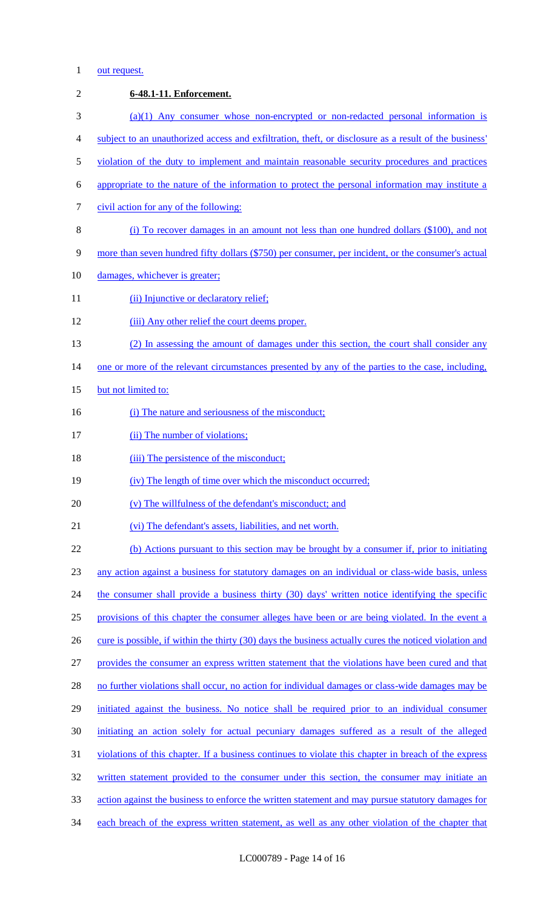# 1 out request.

| $\overline{2}$ | 6-48.1-11. Enforcement.                                                                                  |
|----------------|----------------------------------------------------------------------------------------------------------|
| 3              | $(a)(1)$ Any consumer whose non-encrypted or non-redacted personal information is                        |
| 4              | subject to an unauthorized access and exfiltration, theft, or disclosure as a result of the business'    |
| 5              | violation of the duty to implement and maintain reasonable security procedures and practices             |
| 6              | appropriate to the nature of the information to protect the personal information may institute a         |
| 7              | civil action for any of the following:                                                                   |
| 8              | (i) To recover damages in an amount not less than one hundred dollars (\$100), and not                   |
| 9              | more than seven hundred fifty dollars (\$750) per consumer, per incident, or the consumer's actual       |
| 10             | damages, whichever is greater;                                                                           |
| 11             | (ii) Injunctive or declaratory relief;                                                                   |
| 12             | (iii) Any other relief the court deems proper.                                                           |
| 13             | (2) In assessing the amount of damages under this section, the court shall consider any                  |
| 14             | one or more of the relevant circumstances presented by any of the parties to the case, including,        |
| 15             | but not limited to:                                                                                      |
| 16             | (i) The nature and seriousness of the misconduct;                                                        |
| 17             | (ii) The number of violations;                                                                           |
| 18             | (iii) The persistence of the misconduct;                                                                 |
| 19             | (iv) The length of time over which the misconduct occurred;                                              |
| 20             | (v) The willfulness of the defendant's misconduct; and                                                   |
| 21             | (vi) The defendant's assets, liabilities, and net worth.                                                 |
| 22             | (b) Actions pursuant to this section may be brought by a consumer if, prior to initiating                |
| 23             | any action against a business for statutory damages on an individual or class-wide basis, unless         |
| 24             | the consumer shall provide a business thirty (30) days' written notice identifying the specific          |
| 25             | provisions of this chapter the consumer alleges have been or are being violated. In the event a          |
| 26             | cure is possible, if within the thirty $(30)$ days the business actually cures the noticed violation and |
| 27             | provides the consumer an express written statement that the violations have been cured and that          |
| 28             | no further violations shall occur, no action for individual damages or class-wide damages may be         |
| 29             | initiated against the business. No notice shall be required prior to an individual consumer              |
| 30             | initiating an action solely for actual pecuniary damages suffered as a result of the alleged             |
| 31             | violations of this chapter. If a business continues to violate this chapter in breach of the express     |
| 32             | written statement provided to the consumer under this section, the consumer may initiate an              |
| 33             | action against the business to enforce the written statement and may pursue statutory damages for        |
| 34             | each breach of the express written statement, as well as any other violation of the chapter that         |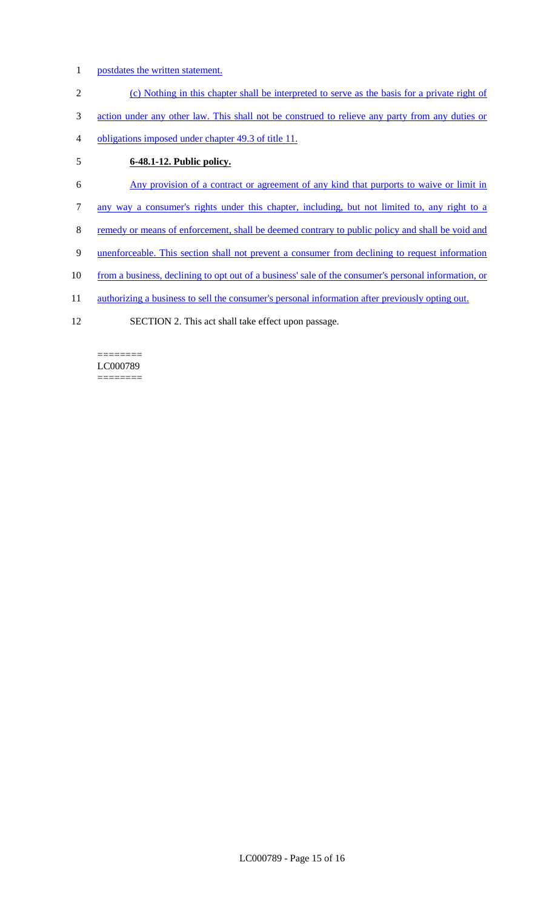- 1 postdates the written statement.
- 2 (c) Nothing in this chapter shall be interpreted to serve as the basis for a private right of 3 action under any other law. This shall not be construed to relieve any party from any duties or
- 4 obligations imposed under chapter 49.3 of title 11.

# 5 **6-48.1-12. Public policy.**

- 6 Any provision of a contract or agreement of any kind that purports to waive or limit in
- 7 any way a consumer's rights under this chapter, including, but not limited to, any right to a
- 8 remedy or means of enforcement, shall be deemed contrary to public policy and shall be void and
- 9 unenforceable. This section shall not prevent a consumer from declining to request information
- 10 from a business, declining to opt out of a business' sale of the consumer's personal information, or
- 11 authorizing a business to sell the consumer's personal information after previously opting out.
- 12 SECTION 2. This act shall take effect upon passage.

======== LC000789 ========